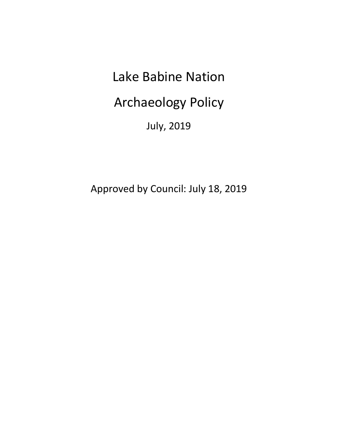# Lake Babine Nation

Archaeology Policy

July, 2019

Approved by Council: July 18, 2019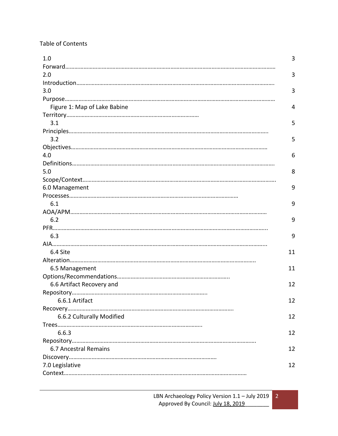# Table of Contents

| 1.0                          | 3  |
|------------------------------|----|
|                              |    |
| 2.0                          | 3  |
|                              |    |
| 3.0                          | 3  |
|                              |    |
| Figure 1: Map of Lake Babine | 4  |
|                              |    |
| 3.1                          | 5  |
|                              |    |
| 3.2                          | 5  |
|                              |    |
| 4.0                          | 6  |
|                              |    |
| 5.0                          | 8  |
|                              |    |
| 6.0 Management               | 9  |
|                              |    |
| 6.1                          | 9  |
|                              |    |
| 6.2                          | 9  |
|                              |    |
| 6.3                          | 9  |
|                              |    |
| 6.4 Site                     | 11 |
|                              |    |
| 6.5 Management               | 11 |
|                              |    |
| 6.6 Artifact Recovery and    | 12 |
|                              |    |
| 6.6.1 Artifact               | 12 |
|                              |    |
| 6.6.2 Culturally Modified    | 12 |
|                              |    |
| 6.6.3                        | 12 |
|                              |    |
| 6.7 Ancestral Remains        | 12 |
|                              |    |
| 7.0 Legislative              | 12 |
|                              |    |
|                              |    |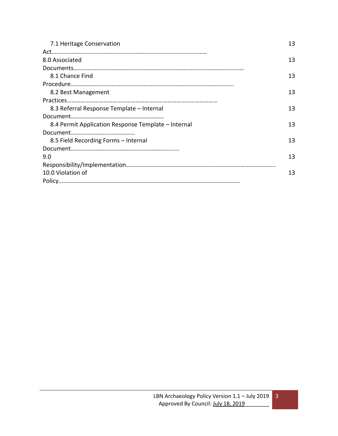| 7.1 Heritage Conservation                           | 13 |
|-----------------------------------------------------|----|
|                                                     |    |
| 8.0 Associated                                      | 13 |
|                                                     |    |
| 8.1 Chance Find                                     | 13 |
|                                                     |    |
| 8.2 Best Management                                 | 13 |
|                                                     |    |
| 8.3 Referral Response Template - Internal           | 13 |
|                                                     |    |
| 8.4 Permit Application Response Template – Internal | 13 |
|                                                     |    |
| 8.5 Field Recording Forms - Internal                | 13 |
|                                                     |    |
| 9.0                                                 | 13 |
|                                                     |    |
| 10.0 Violation of                                   | 13 |
|                                                     |    |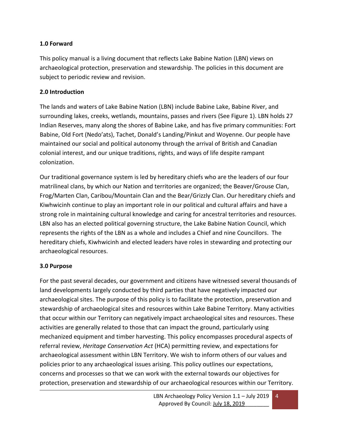#### **1.0 Forward**

This policy manual is a living document that reflects Lake Babine Nation (LBN) views on archaeological protection, preservation and stewardship. The policies in this document are subject to periodic review and revision.

#### **2.0 Introduction**

The lands and waters of Lake Babine Nation (LBN) include Babine Lake, Babine River, and surrounding lakes, creeks, wetlands, mountains, passes and rivers (See Figure 1). LBN holds 27 Indian Reserves, many along the shores of Babine Lake, and has five primary communities: Fort Babine, Old Fort (Nedo'ats), Tachet, Donald's Landing/Pinkut and Woyenne. Our people have maintained our social and political autonomy through the arrival of British and Canadian colonial interest, and our unique traditions, rights, and ways of life despite rampant colonization.

Our traditional governance system is led by hereditary chiefs who are the leaders of our four matrilineal clans, by which our Nation and territories are organized; the Beaver/Grouse Clan, Frog/Marten Clan, Caribou/Mountain Clan and the Bear/Grizzly Clan. Our hereditary chiefs and Kiwhwicinh continue to play an important role in our political and cultural affairs and have a strong role in maintaining cultural knowledge and caring for ancestral territories and resources. LBN also has an elected political governing structure, the Lake Babine Nation Council, which represents the rights of the LBN as a whole and includes a Chief and nine Councillors. The hereditary chiefs, Kiwhwicinh and elected leaders have roles in stewarding and protecting our archaeological resources.

#### **3.0 Purpose**

For the past several decades, our government and citizens have witnessed several thousands of land developments largely conducted by third parties that have negatively impacted our archaeological sites. The purpose of this policy is to facilitate the protection, preservation and stewardship of archaeological sites and resources within Lake Babine Territory. Many activities that occur within our Territory can negatively impact archaeological sites and resources. These activities are generally related to those that can impact the ground, particularly using mechanized equipment and timber harvesting. This policy encompasses procedural aspects of referral review, *Heritage Conservation Act* (HCA) permitting review, and expectations for archaeological assessment within LBN Territory. We wish to inform others of our values and policies prior to any archaeological issues arising. This policy outlines our expectations, concerns and processes so that we can work with the external towards our objectives for protection, preservation and stewardship of our archaeological resources within our Territory.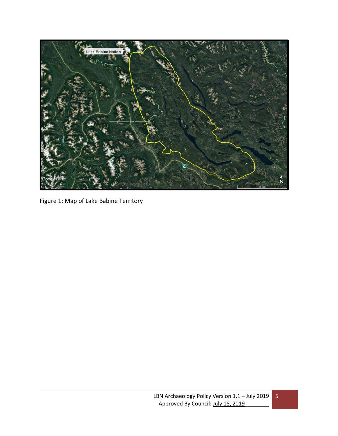

Figure 1: Map of Lake Babine Territory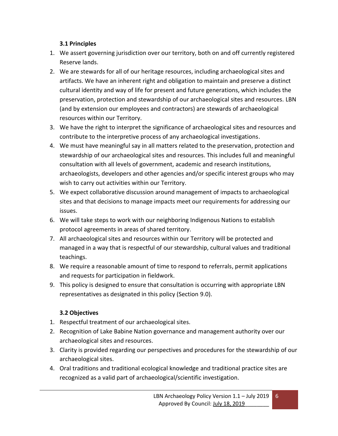#### **3.1 Principles**

- 1. We assert governing jurisdiction over our territory, both on and off currently registered Reserve lands.
- 2. We are stewards for all of our heritage resources, including archaeological sites and artifacts. We have an inherent right and obligation to maintain and preserve a distinct cultural identity and way of life for present and future generations, which includes the preservation, protection and stewardship of our archaeological sites and resources. LBN (and by extension our employees and contractors) are stewards of archaeological resources within our Territory.
- 3. We have the right to interpret the significance of archaeological sites and resources and contribute to the interpretive process of any archaeological investigations.
- 4. We must have meaningful say in all matters related to the preservation, protection and stewardship of our archaeological sites and resources. This includes full and meaningful consultation with all levels of government, academic and research institutions, archaeologists, developers and other agencies and/or specific interest groups who may wish to carry out activities within our Territory.
- 5. We expect collaborative discussion around management of impacts to archaeological sites and that decisions to manage impacts meet our requirements for addressing our issues.
- 6. We will take steps to work with our neighboring Indigenous Nations to establish protocol agreements in areas of shared territory.
- 7. All archaeological sites and resources within our Territory will be protected and managed in a way that is respectful of our stewardship, cultural values and traditional teachings.
- 8. We require a reasonable amount of time to respond to referrals, permit applications and requests for participation in fieldwork.
- 9. This policy is designed to ensure that consultation is occurring with appropriate LBN representatives as designated in this policy (Section 9.0).

# **3.2 Objectives**

- 1. Respectful treatment of our archaeological sites.
- 2. Recognition of Lake Babine Nation governance and management authority over our archaeological sites and resources.
- 3. Clarity is provided regarding our perspectives and procedures for the stewardship of our archaeological sites.
- 4. Oral traditions and traditional ecological knowledge and traditional practice sites are recognized as a valid part of archaeological/scientific investigation.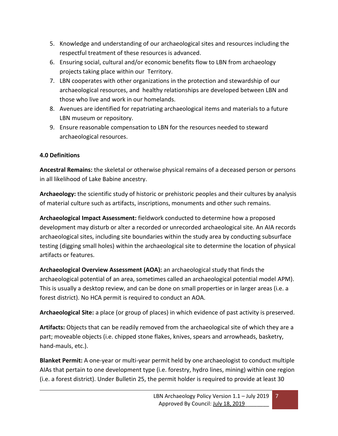- 5. Knowledge and understanding of our archaeological sites and resources including the respectful treatment of these resources is advanced.
- 6. Ensuring social, cultural and/or economic benefits flow to LBN from archaeology projects taking place within our Territory.
- 7. LBN cooperates with other organizations in the protection and stewardship of our archaeological resources, and healthy relationships are developed between LBN and those who live and work in our homelands.
- 8. Avenues are identified for repatriating archaeological items and materials to a future LBN museum or repository.
- 9. Ensure reasonable compensation to LBN for the resources needed to steward archaeological resources.

# **4.0 Definitions**

**Ancestral Remains:** the skeletal or otherwise physical remains of a deceased person or persons in all likelihood of Lake Babine ancestry.

**Archaeology:** the scientific study of historic or prehistoric peoples and their cultures by analysis of material culture such as artifacts, inscriptions, monuments and other such remains.

**Archaeological Impact Assessment:** fieldwork conducted to determine how a proposed development may disturb or alter a recorded or unrecorded archaeological site. An AIA records archaeological sites, including site boundaries within the study area by conducting subsurface testing (digging small holes) within the archaeological site to determine the location of physical artifacts or features.

**Archaeological Overview Assessment (AOA):** an archaeological study that finds the archaeological potential of an area, sometimes called an archaeological potential model APM). This is usually a desktop review, and can be done on small properties or in larger areas (i.e. a forest district). No HCA permit is required to conduct an AOA.

**Archaeological Site:** a place (or group of places) in which evidence of past activity is preserved.

**Artifacts:** Objects that can be readily removed from the archaeological site of which they are a part; moveable objects (i.e. chipped stone flakes, knives, spears and arrowheads, basketry, hand-mauls, etc.).

**Blanket Permit:** A one-year or multi-year permit held by one archaeologist to conduct multiple AIAs that pertain to one development type (i.e. forestry, hydro lines, mining) within one region (i.e. a forest district). Under Bulletin 25, the permit holder is required to provide at least 30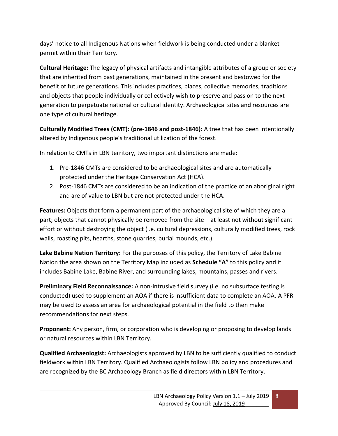days' notice to all Indigenous Nations when fieldwork is being conducted under a blanket permit within their Territory.

**Cultural Heritage:** The legacy of physical artifacts and intangible attributes of a group or society that are inherited from past generations, maintained in the present and bestowed for the benefit of future generations. This includes practices, places, collective memories, traditions and objects that people individually or collectively wish to preserve and pass on to the next generation to perpetuate national or cultural identity. Archaeological sites and resources are one type of cultural heritage.

**Culturally Modified Trees (CMT): (pre-1846 and post-1846):** A tree that has been intentionally altered by Indigenous people's traditional utilization of the forest.

In relation to CMTs in LBN territory, two important distinctions are made:

- 1. Pre-1846 CMTs are considered to be archaeological sites and are automatically protected under the Heritage Conservation Act (HCA).
- 2. Post-1846 CMTs are considered to be an indication of the practice of an aboriginal right and are of value to LBN but are not protected under the HCA.

**Features:** Objects that form a permanent part of the archaeological site of which they are a part; objects that cannot physically be removed from the site – at least not without significant effort or without destroying the object (i.e. cultural depressions, culturally modified trees, rock walls, roasting pits, hearths, stone quarries, burial mounds, etc.).

**Lake Babine Nation Territory:** For the purposes of this policy, the Territory of Lake Babine Nation the area shown on the Territory Map included as **Schedule "A"** to this policy and it includes Babine Lake, Babine River, and surrounding lakes, mountains, passes and rivers.

**Preliminary Field Reconnaissance:** A non-intrusive field survey (i.e. no subsurface testing is conducted) used to supplement an AOA if there is insufficient data to complete an AOA. A PFR may be used to assess an area for archaeological potential in the field to then make recommendations for next steps.

**Proponent:** Any person, firm, or corporation who is developing or proposing to develop lands or natural resources within LBN Territory.

**Qualified Archaeologist:** Archaeologists approved by LBN to be sufficiently qualified to conduct fieldwork within LBN Territory. Qualified Archaeologists follow LBN policy and procedures and are recognized by the BC Archaeology Branch as field directors within LBN Territory.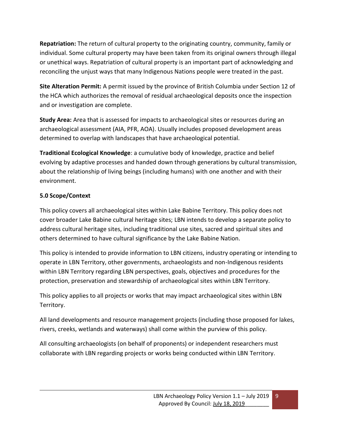**Repatriation:** The return of cultural property to the originating country, community, family or individual. Some cultural property may have been taken from its original owners through illegal or unethical ways. Repatriation of cultural property is an important part of acknowledging and reconciling the unjust ways that many Indigenous Nations people were treated in the past.

**Site Alteration Permit:** A permit issued by the province of British Columbia under Section 12 of the HCA which authorizes the removal of residual archaeological deposits once the inspection and or investigation are complete.

**Study Area:** Area that is assessed for impacts to archaeological sites or resources during an archaeological assessment (AIA, PFR, AOA). Usually includes proposed development areas determined to overlap with landscapes that have archaeological potential.

**Traditional Ecological Knowledge**: a cumulative body of knowledge, practice and belief evolving by adaptive processes and handed down through generations by cultural transmission, about the relationship of living beings (including humans) with one another and with their environment.

# **5.0 Scope/Context**

This policy covers all archaeological sites within Lake Babine Territory. This policy does not cover broader Lake Babine cultural heritage sites; LBN intends to develop a separate policy to address cultural heritage sites, including traditional use sites, sacred and spiritual sites and others determined to have cultural significance by the Lake Babine Nation.

This policy is intended to provide information to LBN citizens, industry operating or intending to operate in LBN Territory, other governments, archaeologists and non-Indigenous residents within LBN Territory regarding LBN perspectives, goals, objectives and procedures for the protection, preservation and stewardship of archaeological sites within LBN Territory.

This policy applies to all projects or works that may impact archaeological sites within LBN Territory.

All land developments and resource management projects (including those proposed for lakes, rivers, creeks, wetlands and waterways) shall come within the purview of this policy.

All consulting archaeologists (on behalf of proponents) or independent researchers must collaborate with LBN regarding projects or works being conducted within LBN Territory.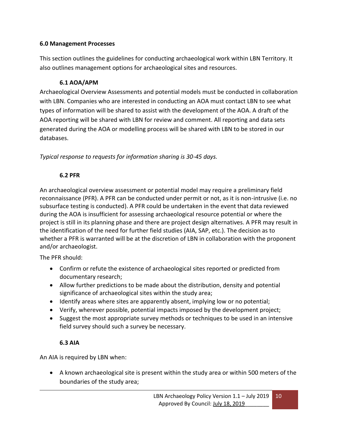#### **6.0 Management Processes**

This section outlines the guidelines for conducting archaeological work within LBN Territory. It also outlines management options for archaeological sites and resources.

#### **6.1 AOA/APM**

Archaeological Overview Assessments and potential models must be conducted in collaboration with LBN. Companies who are interested in conducting an AOA must contact LBN to see what types of information will be shared to assist with the development of the AOA. A draft of the AOA reporting will be shared with LBN for review and comment. All reporting and data sets generated during the AOA or modelling process will be shared with LBN to be stored in our databases.

*Typical response to requests for information sharing is 30-45 days.* 

# **6.2 PFR**

An archaeological overview assessment or potential model may require a preliminary field reconnaissance (PFR). A PFR can be conducted under permit or not, as it is non-intrusive (i.e. no subsurface testing is conducted). A PFR could be undertaken in the event that data reviewed during the AOA is insufficient for assessing archaeological resource potential or where the project is still in its planning phase and there are project design alternatives. A PFR may result in the identification of the need for further field studies (AIA, SAP, etc.). The decision as to whether a PFR is warranted will be at the discretion of LBN in collaboration with the proponent and/or archaeologist.

The PFR should:

- Confirm or refute the existence of archaeological sites reported or predicted from documentary research;
- Allow further predictions to be made about the distribution, density and potential significance of archaeological sites within the study area;
- Identify areas where sites are apparently absent, implying low or no potential;
- Verify, wherever possible, potential impacts imposed by the development project;
- Suggest the most appropriate survey methods or techniques to be used in an intensive field survey should such a survey be necessary.

# **6.3 AIA**

An AIA is required by LBN when:

• A known archaeological site is present within the study area or within 500 meters of the boundaries of the study area;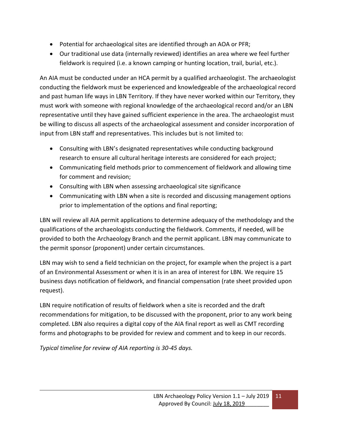- Potential for archaeological sites are identified through an AOA or PFR;
- Our traditional use data (internally reviewed) identifies an area where we feel further fieldwork is required (i.e. a known camping or hunting location, trail, burial, etc.).

An AIA must be conducted under an HCA permit by a qualified archaeologist. The archaeologist conducting the fieldwork must be experienced and knowledgeable of the archaeological record and past human life ways in LBN Territory. If they have never worked within our Territory, they must work with someone with regional knowledge of the archaeological record and/or an LBN representative until they have gained sufficient experience in the area. The archaeologist must be willing to discuss all aspects of the archaeological assessment and consider incorporation of input from LBN staff and representatives. This includes but is not limited to:

- Consulting with LBN's designated representatives while conducting background research to ensure all cultural heritage interests are considered for each project;
- Communicating field methods prior to commencement of fieldwork and allowing time for comment and revision;
- Consulting with LBN when assessing archaeological site significance
- Communicating with LBN when a site is recorded and discussing management options prior to implementation of the options and final reporting;

LBN will review all AIA permit applications to determine adequacy of the methodology and the qualifications of the archaeologists conducting the fieldwork. Comments, if needed, will be provided to both the Archaeology Branch and the permit applicant. LBN may communicate to the permit sponsor (proponent) under certain circumstances.

LBN may wish to send a field technician on the project, for example when the project is a part of an Environmental Assessment or when it is in an area of interest for LBN. We require 15 business days notification of fieldwork, and financial compensation (rate sheet provided upon request).

LBN require notification of results of fieldwork when a site is recorded and the draft recommendations for mitigation, to be discussed with the proponent, prior to any work being completed. LBN also requires a digital copy of the AIA final report as well as CMT recording forms and photographs to be provided for review and comment and to keep in our records.

*Typical timeline for review of AIA reporting is 30-45 days.*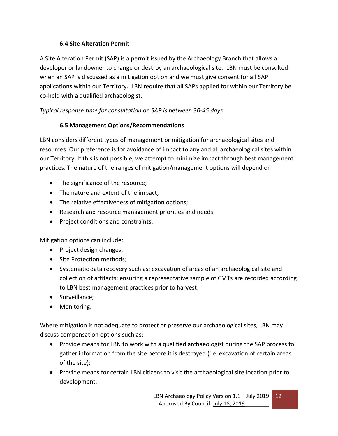# **6.4 Site Alteration Permit**

A Site Alteration Permit (SAP) is a permit issued by the Archaeology Branch that allows a developer or landowner to change or destroy an archaeological site. LBN must be consulted when an SAP is discussed as a mitigation option and we must give consent for all SAP applications within our Territory. LBN require that all SAPs applied for within our Territory be co-held with a qualified archaeologist.

# *Typical response time for consultation on SAP is between 30-45 days.*

# **6.5 Management Options/Recommendations**

LBN considers different types of management or mitigation for archaeological sites and resources. Our preference is for avoidance of impact to any and all archaeological sites within our Territory. If this is not possible, we attempt to minimize impact through best management practices. The nature of the ranges of mitigation/management options will depend on:

- The significance of the resource;
- The nature and extent of the impact;
- The relative effectiveness of mitigation options;
- Research and resource management priorities and needs;
- Project conditions and constraints.

Mitigation options can include:

- Project design changes;
- Site Protection methods;
- Systematic data recovery such as: excavation of areas of an archaeological site and collection of artifacts; ensuring a representative sample of CMTs are recorded according to LBN best management practices prior to harvest;
- Surveillance;
- Monitoring.

Where mitigation is not adequate to protect or preserve our archaeological sites, LBN may discuss compensation options such as:

- Provide means for LBN to work with a qualified archaeologist during the SAP process to gather information from the site before it is destroyed (i.e. excavation of certain areas of the site);
- Provide means for certain LBN citizens to visit the archaeological site location prior to development.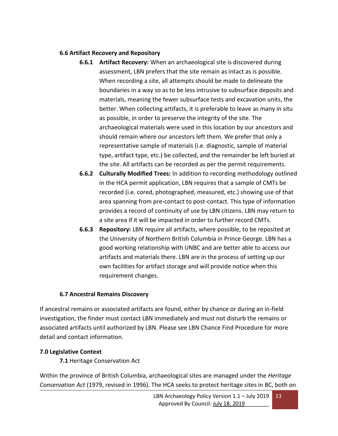#### **6.6 Artifact Recovery and Repository**

- **6.6.1 Artifact Recovery:** When an archaeological site is discovered during assessment, LBN prefers that the site remain as intact as is possible. When recording a site, all attempts should be made to delineate the boundaries in a way so as to be less intrusive to subsurface deposits and materials, meaning the fewer subsurface tests and excavation units, the better. When collecting artifacts, it is preferable to leave as many in situ as possible, in order to preserve the integrity of the site. The archaeological materials were used in this location by our ancestors and should remain where our ancestors left them. We prefer that only a representative sample of materials (i.e. diagnostic, sample of material type, artifact type, etc.) be collected, and the remainder be left buried at the site. All artifacts can be recorded as per the permit requirements.
- **6.6.2 Culturally Modified Trees:** In addition to recording methodology outlined in the HCA permit application, LBN requires that a sample of CMTs be recorded (i.e. cored, photographed, measured, etc.) showing use of that area spanning from pre-contact to post-contact. This type of information provides a record of continuity of use by LBN citizens. LBN may return to a site area if it will be impacted in order to further record CMTs.
- **6.6.3 Repository:** LBN require all artifacts, where possible, to be reposited at the University of Northern British Columbia in Prince George. LBN has a good working relationship with UNBC and are better able to access our artifacts and materials there. LBN are in the process of setting up our own facilities for artifact storage and will provide notice when this requirement changes.

# **6.7 Ancestral Remains Discovery**

If ancestral remains or associated artifacts are found, either by chance or during an in-field investigation, the finder must contact LBN immediately and must not disturb the remains or associated artifacts until authorized by LBN. Please see LBN Chance Find Procedure for more detail and contact information.

# **7.0 Legislative Context**

**7.1** Heritage Conservation Act

Within the province of British Columbia, archaeological sites are managed under the *Heritage Conservation Act* (1979, revised in 1996). The HCA seeks to protect heritage sites in BC, both on